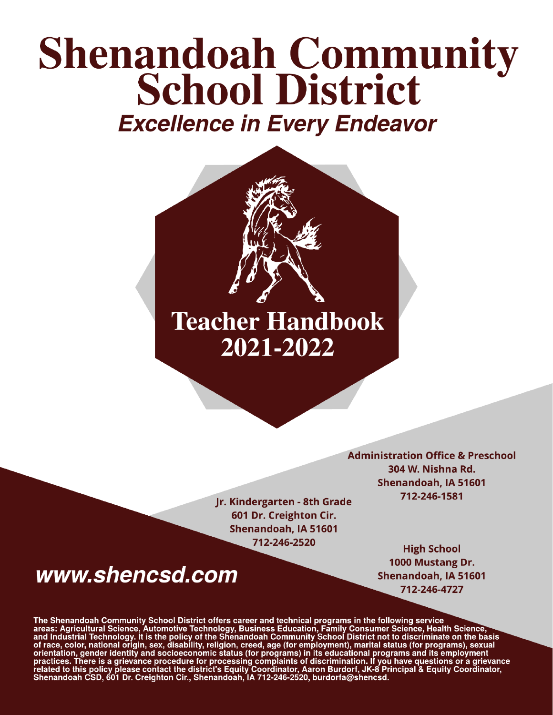# **Shenandoah Community<br>School District Excellence in Every Endeavor**



Jr. Kindergarten - 8th Grade 601 Dr. Creighton Cir. Shenandoah, IA 51601 712-246-2520

# www.shencsd.com

**Administration Office & Preschool** 304 W. Nishna Rd. Shenandoah, IA 51601 712-246-1581

> **High School** 1000 Mustang Dr. Shenandoah, IA 51601 712-246-4727

The Shenandoah Community School District offers career and technical programs in the following service<br>areas: Agricultural Science, Automotive Technology, Business Education, Family Consumer Science, Health Science,<br>and In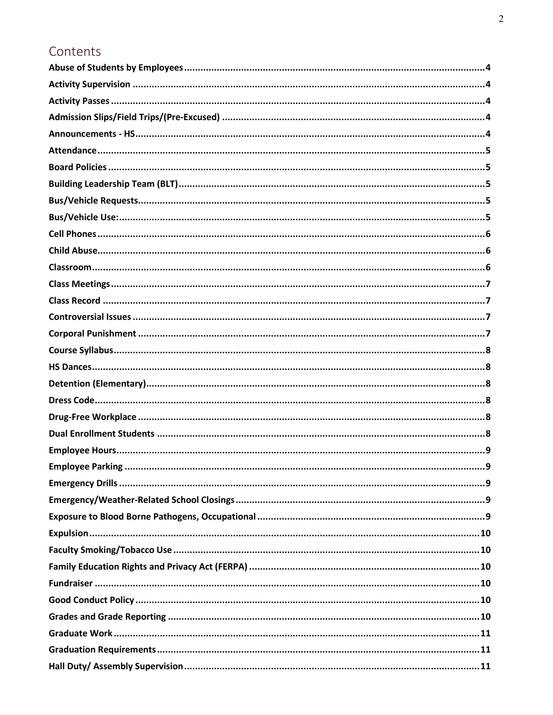## Contents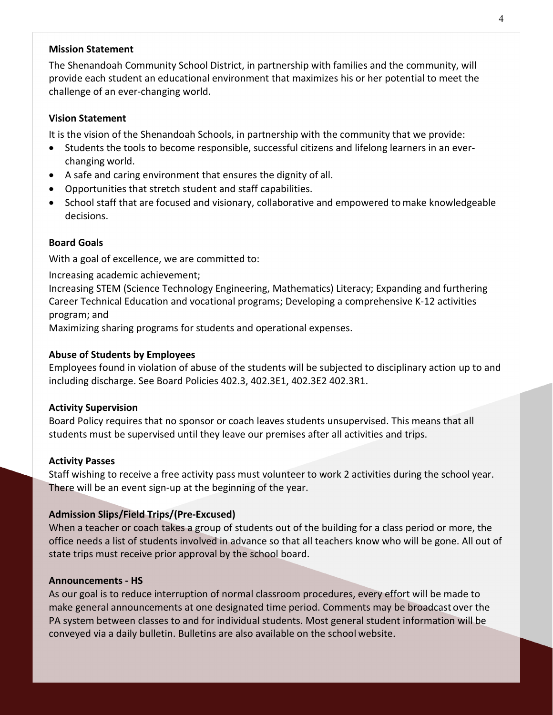## **Mission Statement**

The Shenandoah Community School District, in partnership with families and the community, will provide each student an educational environment that maximizes his or her potential to meet the challenge of an ever-changing world.

## **Vision Statement**

It is the vision of the Shenandoah Schools, in partnership with the community that we provide:

- Students the tools to become responsible, successful citizens and lifelong learners in an everchanging world.
- A safe and caring environment that ensures the dignity of all.
- Opportunities that stretch student and staff capabilities.
- School staff that are focused and visionary, collaborative and empowered to make knowledgeable decisions.

## **Board Goals**

With a goal of excellence, we are committed to:

Increasing academic achievement;

Increasing STEM (Science Technology Engineering, Mathematics) Literacy; Expanding and furthering Career Technical Education and vocational programs; Developing a comprehensive K-12 activities program; and

Maximizing sharing programs for students and operational expenses.

## <span id="page-3-0"></span>**Abuse of Students by Employees**

Employees found in violation of abuse of the students will be subjected to disciplinary action up to and including discharge. See Board Policies 402.3, 402.3E1, 402.3E2 402.3R1.

#### <span id="page-3-1"></span>**Activity Supervision**

Board Policy requires that no sponsor or coach leaves students unsupervised. This means that all students must be supervised until they leave our premises after all activities and trips.

#### <span id="page-3-2"></span>**Activity Passes**

Staff wishing to receive a free activity pass must volunteer to work 2 activities during the school year. There will be an event sign-up at the beginning of the year.

## <span id="page-3-3"></span>**Admission Slips/Field Trips/(Pre-Excused)**

When a teacher or coach takes a group of students out of the building for a class period or more, the office needs a list of students involved in advance so that all teachers know who will be gone. All out of state trips must receive prior approval by the school board.

#### <span id="page-3-4"></span>**Announcements - HS**

As our goal is to reduce interruption of normal classroom procedures, every effort will be made to make general announcements at one designated time period. Comments may be broadcast over the PA system between classes to and for individual students. Most general student information will be conveyed via a daily bulletin. Bulletins are also available on the school website.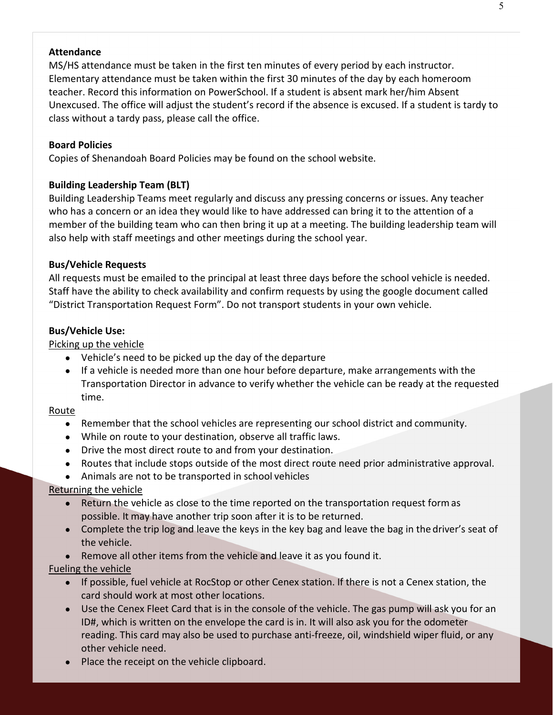## <span id="page-4-0"></span>**Attendance**

MS/HS attendance must be taken in the first ten minutes of every period by each instructor. Elementary attendance must be taken within the first 30 minutes of the day by each homeroom teacher. Record this information on PowerSchool. If a student is absent mark her/him Absent Unexcused. The office will adjust the student's record if the absence is excused. If a student is tardy to class without a tardy pass, please call the office.

#### <span id="page-4-1"></span>**Board Policies**

Copies of Shenandoah Board Policies may be found on the school website.

## <span id="page-4-2"></span>**Building Leadership Team (BLT)**

Building Leadership Teams meet regularly and discuss any pressing concerns or issues. Any teacher who has a concern or an idea they would like to have addressed can bring it to the attention of a member of the building team who can then bring it up at a meeting. The building leadership team will also help with staff meetings and other meetings during the school year.

#### <span id="page-4-3"></span>**Bus/Vehicle Requests**

All requests must be emailed to the principal at least three days before the school vehicle is needed. Staff have the ability to check availability and confirm requests by using the google document called "District Transportation Request Form". Do not transport students in your own vehicle.

#### <span id="page-4-4"></span>**Bus/Vehicle Use:**

#### Picking up the vehicle

- Vehicle's need to be picked up the day of the departure
- If a vehicle is needed more than one hour before departure, make arrangements with the Transportation Director in advance to verify whether the vehicle can be ready at the requested time.

#### Route

- Remember that the school vehicles are representing our school district and community.
- While on route to your destination, observe all traffic laws.
- Drive the most direct route to and from your destination.
- Routes that include stops outside of the most direct route need prior administrative approval.
- Animals are not to be transported in school vehicles

## Returning the vehicle

- Return the vehicle as close to the time reported on the transportation request form as possible. It may have another trip soon after it is to be returned.
- Complete the trip log and leave the keys in the key bag and leave the bag in the driver's seat of the vehicle.
- Remove all other items from the vehicle and leave it as you found it.

## Fueling the vehicle

- If possible, fuel vehicle at RocStop or other Cenex station. If there is not a Cenex station, the card should work at most other locations.
- Use the Cenex Fleet Card that is in the console of the vehicle. The gas pump will ask you for an ID#, which is written on the envelope the card is in. It will also ask you for the odometer reading. This card may also be used to purchase anti-freeze, oil, windshield wiper fluid, or any other vehicle need.
- Place the receipt on the vehicle clipboard.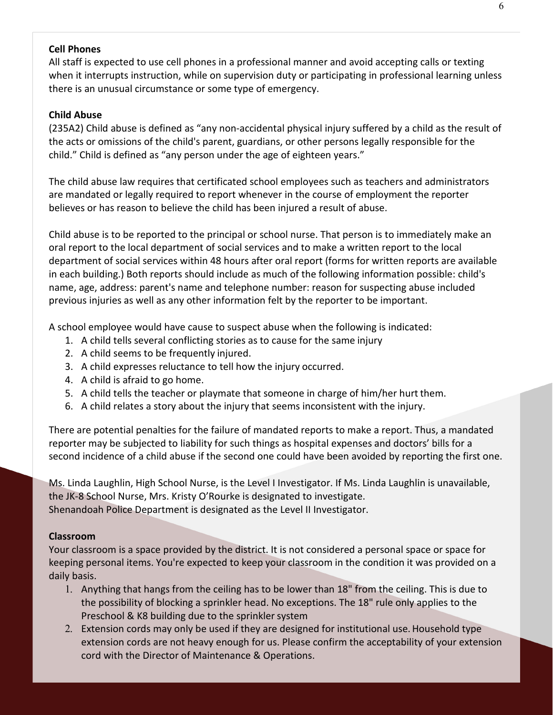## <span id="page-5-0"></span>**Cell Phones**

All staff is expected to use cell phones in a professional manner and avoid accepting calls or texting when it interrupts instruction, while on supervision duty or participating in professional learning unless there is an unusual circumstance or some type of emergency.

## <span id="page-5-1"></span>**Child Abuse**

(235A2) Child abuse is defined as "any non-accidental physical injury suffered by a child as the result of the acts or omissions of the child's parent, guardians, or other persons legally responsible for the child." Child is defined as "any person under the age of eighteen years."

The child abuse law requires that certificated school employees such as teachers and administrators are mandated or legally required to report whenever in the course of employment the reporter believes or has reason to believe the child has been injured a result of abuse.

Child abuse is to be reported to the principal or school nurse. That person is to immediately make an oral report to the local department of social services and to make a written report to the local department of social services within 48 hours after oral report (forms for written reports are available in each building.) Both reports should include as much of the following information possible: child's name, age, address: parent's name and telephone number: reason for suspecting abuse included previous injuries as well as any other information felt by the reporter to be important.

A school employee would have cause to suspect abuse when the following is indicated:

- 1. A child tells several conflicting stories as to cause for the same injury
- 2. A child seems to be frequently injured.
- 3. A child expresses reluctance to tell how the injury occurred.
- 4. A child is afraid to go home.
- 5. A child tells the teacher or playmate that someone in charge of him/her hurt them.
- 6. A child relates a story about the injury that seems inconsistent with the injury.

There are potential penalties for the failure of mandated reports to make a report. Thus, a mandated reporter may be subjected to liability for such things as hospital expenses and doctors' bills for a second incidence of a child abuse if the second one could have been avoided by reporting the first one.

Ms. Linda Laughlin, High School Nurse, is the Level I Investigator. If Ms. Linda Laughlin is unavailable, the JK-8 School Nurse, Mrs. Kristy O'Rourke is designated to investigate. Shenandoah Police Department is designated as the Level II Investigator.

#### <span id="page-5-2"></span>**Classroom**

Your classroom is a space provided by the district. It is not considered a personal space or space for keeping personal items. You're expected to keep your classroom in the condition it was provided on a daily basis.

- 1. Anything that hangs from the ceiling has to be lower than 18" from the ceiling. This is due to the possibility of blocking a sprinkler head. No exceptions. The 18" rule only applies to the Preschool & K8 building due to the sprinkler system
- 2. Extension cords may only be used if they are designed for institutional use.Household type extension cords are not heavy enough for us. Please confirm the acceptability of your extension cord with the Director of Maintenance & Operations.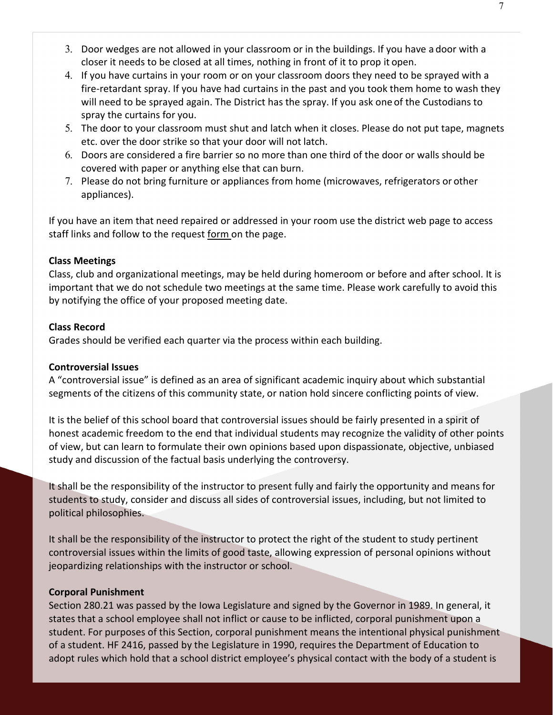- 3. Door wedges are not allowed in your classroom or in the buildings. If you have a door with a closer it needs to be closed at all times, nothing in front of it to prop it open.
- 4. If you have curtains in your room or on your classroom doors they need to be sprayed with a fire-retardant spray. If you have had curtains in the past and you took them home to wash they will need to be sprayed again. The District has the spray. If you ask one of the Custodians to spray the curtains for you.
- 5. The door to your classroom must shut and latch when it closes. Please do not put tape, magnets etc. over the door strike so that your door will not latch.
- 6. Doors are considered a fire barrier so no more than one third of the door or walls should be covered with paper or anything else that can burn.
- 7. Please do not bring furniture or appliances from home (microwaves, refrigerators or other appliances).

If you have an item that need repaired or addressed in your room use the district web page to access staff links and follow to the request [form o](https://docs.google.com/a/shenandoah.k12.ia.us/forms/d/e/1FAIpQLSddkzaVC06QChZvbJaeOwWXOC5aplYCl_FBDJMyVGQ_Rb0naQ/viewform)n the page.

## <span id="page-6-0"></span>**Class Meetings**

Class, club and organizational meetings, may be held during homeroom or before and after school. It is important that we do not schedule two meetings at the same time. Please work carefully to avoid this by notifying the office of your proposed meeting date.

## <span id="page-6-1"></span>**Class Record**

Grades should be verified each quarter via the process within each building.

## <span id="page-6-2"></span>**Controversial Issues**

A "controversial issue" is defined as an area of significant academic inquiry about which substantial segments of the citizens of this community state, or nation hold sincere conflicting points of view.

It is the belief of this school board that controversial issues should be fairly presented in a spirit of honest academic freedom to the end that individual students may recognize the validity of other points of view, but can learn to formulate their own opinions based upon dispassionate, objective, unbiased study and discussion of the factual basis underlying the controversy.

It shall be the responsibility of the instructor to present fully and fairly the opportunity and means for students to study, consider and discuss all sides of controversial issues, including, but not limited to political philosophies.

It shall be the responsibility of the instructor to protect the right of the student to study pertinent controversial issues within the limits of good taste, allowing expression of personal opinions without jeopardizing relationships with the instructor or school.

## <span id="page-6-3"></span>**Corporal Punishment**

Section 280.21 was passed by the Iowa Legislature and signed by the Governor in 1989. In general, it states that a school employee shall not inflict or cause to be inflicted, corporal punishment upon a student. For purposes of this Section, corporal punishment means the intentional physical punishment of a student. HF 2416, passed by the Legislature in 1990, requires the Department of Education to adopt rules which hold that a school district employee's physical contact with the body of a student is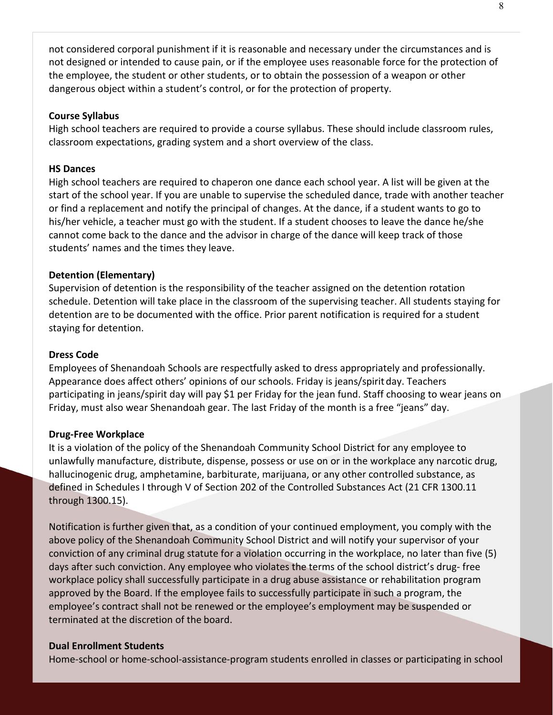not considered corporal punishment if it is reasonable and necessary under the circumstances and is not designed or intended to cause pain, or if the employee uses reasonable force for the protection of the employee, the student or other students, or to obtain the possession of a weapon or other dangerous object within a student's control, or for the protection of property.

#### <span id="page-7-0"></span>**Course Syllabus**

High school teachers are required to provide a course syllabus. These should include classroom rules, classroom expectations, grading system and a short overview of the class.

#### <span id="page-7-1"></span>**HS Dances**

High school teachers are required to chaperon one dance each school year. A list will be given at the start of the school year. If you are unable to supervise the scheduled dance, trade with another teacher or find a replacement and notify the principal of changes. At the dance, if a student wants to go to his/her vehicle, a teacher must go with the student. If a student chooses to leave the dance he/she cannot come back to the dance and the advisor in charge of the dance will keep track of those students' names and the times they leave.

## <span id="page-7-2"></span>**Detention (Elementary)**

Supervision of detention is the responsibility of the teacher assigned on the detention rotation schedule. Detention will take place in the classroom of the supervising teacher. All students staying for detention are to be documented with the office. Prior parent notification is required for a student staying for detention.

#### <span id="page-7-3"></span>**Dress Code**

Employees of Shenandoah Schools are respectfully asked to dress appropriately and professionally. Appearance does affect others' opinions of our schools. Friday is jeans/spiritday. Teachers participating in jeans/spirit day will pay \$1 per Friday for the jean fund. Staff choosing to wear jeans on Friday, must also wear Shenandoah gear. The last Friday of the month is a free "jeans" day.

#### <span id="page-7-4"></span>**Drug-Free Workplace**

It is a violation of the policy of the Shenandoah Community School District for any employee to unlawfully manufacture, distribute, dispense, possess or use on or in the workplace any narcotic drug, hallucinogenic drug, amphetamine, barbiturate, marijuana, or any other controlled substance, as defined in Schedules I through V of Section 202 of the Controlled Substances Act (21 CFR 1300.11 through 1300.15).

Notification is further given that, as a condition of your continued employment, you comply with the above policy of the Shenandoah Community School District and will notify your supervisor of your conviction of any criminal drug statute for a violation occurring in the workplace, no later than five (5) days after such conviction. Any employee who violates the terms of the school district's drug- free workplace policy shall successfully participate in a drug abuse assistance or rehabilitation program approved by the Board. If the employee fails to successfully participate in such a program, the employee's contract shall not be renewed or the employee's employment may be suspended or terminated at the discretion of the board.

#### <span id="page-7-5"></span>**Dual Enrollment Students**

Home-school or home-school-assistance-program students enrolled in classes or participating in school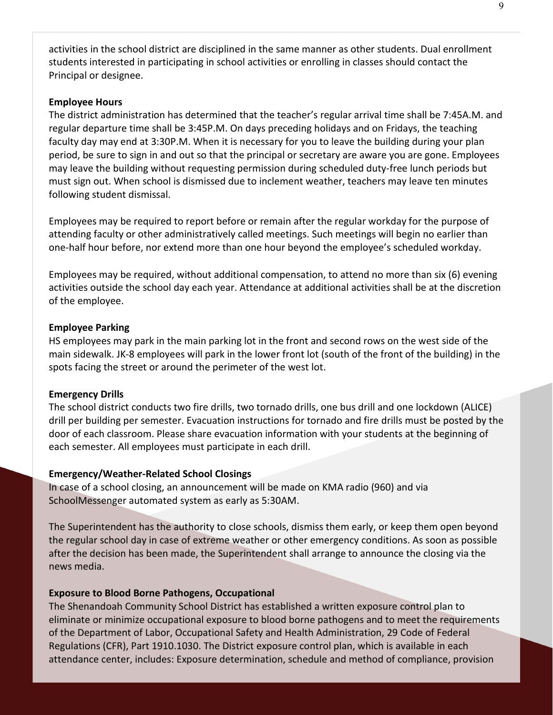activities in the school district are disciplined in the same manner as other students. Dual enrollment students interested in participating in school activities or enrolling in classes should contact the Principal or designee.

## <span id="page-8-0"></span>**Employee Hours**

The district administration has determined that the teacher's regular arrival time shall be 7:45A.M. and regular departure time shall be 3:45P.M. On days preceding holidays and on Fridays, the teaching faculty day may end at 3:30P.M. When it is necessary for you to leave the building during your plan period, be sure to sign in and out so that the principal or secretary are aware you are gone. Employees may leave the building without requesting permission during scheduled duty-free lunch periods but must sign out. When school is dismissed due to inclement weather, teachers may leave ten minutes following student dismissal.

Employees may be required to report before or remain after the regular workday for the purpose of attending faculty or other administratively called meetings. Such meetings will begin no earlier than one-half hour before, nor extend more than one hour beyond the employee's scheduled workday.

Employees may be required, without additional compensation, to attend no more than six (6) evening activities outside the school day each year. Attendance at additional activities shall be at the discretion of the employee.

## <span id="page-8-1"></span>**Employee Parking**

HS employees may park in the main parking lot in the front and second rows on the west side of the main sidewalk. JK-8 employees will park in the lower front lot (south of the front of the building) in the spots facing the street or around the perimeter of the west lot.

#### <span id="page-8-2"></span>**Emergency Drills**

The school district conducts two fire drills, two tornado drills, one bus drill and one lockdown (ALICE) drill per building per semester. Evacuation instructions for tornado and fire drills must be posted by the door of each classroom. Please share evacuation information with your students at the beginning of each semester. All employees must participate in each drill.

#### <span id="page-8-3"></span>**Emergency/Weather-Related School Closings**

In case of a school closing, an announcement will be made on KMA radio (960) and via SchoolMessenger automated system as early as 5:30AM.

The Superintendent has the authority to close schools, dismiss them early, or keep them open beyond the regular school day in case of extreme weather or other emergency conditions. As soon as possible after the decision has been made, the Superintendent shall arrange to announce the closing via the news media.

#### <span id="page-8-4"></span>**Exposure to Blood Borne Pathogens, Occupational**

The Shenandoah Community School District has established a written exposure control plan to eliminate or minimize occupational exposure to blood borne pathogens and to meet the requirements of the Department of Labor, Occupational Safety and Health Administration, 29 Code of Federal Regulations (CFR), Part 1910.1030. The District exposure control plan, which is available in each attendance center, includes: Exposure determination, schedule and method of compliance, provision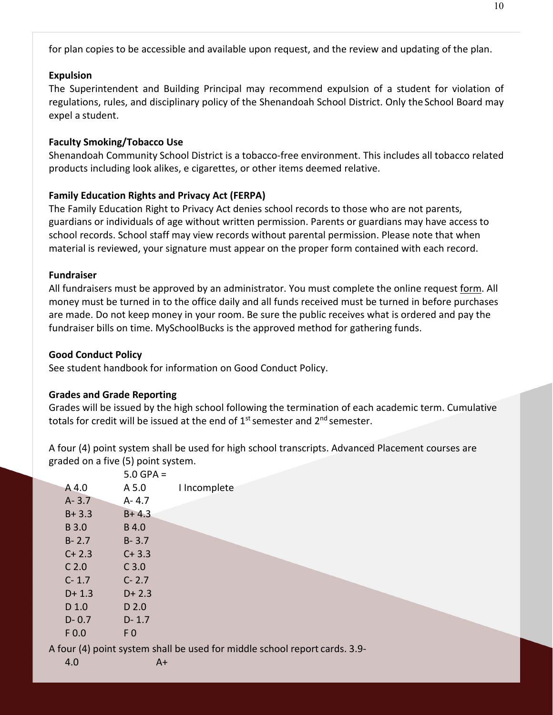for plan copies to be accessible and available upon request, and the review and updating of the plan.

#### <span id="page-9-0"></span>**Expulsion**

The Superintendent and Building Principal may recommend expulsion of a student for violation of regulations, rules, and disciplinary policy of the Shenandoah School District. Only the School Board may expel a student.

## <span id="page-9-1"></span>**Faculty Smoking/Tobacco Use**

Shenandoah Community School District is a tobacco-free environment. This includes all tobacco related products including look alikes, e cigarettes, or other items deemed relative.

## <span id="page-9-2"></span>**Family Education Rights and Privacy Act (FERPA)**

The Family Education Right to Privacy Act denies school records to those who are not parents, guardians or individuals of age without written permission. Parents or guardians may have access to school records. School staff may view records without parental permission. Please note that when material is reviewed, your signature must appear on the proper form contained with each record.

#### <span id="page-9-3"></span>**Fundraiser**

All fundraisers must be approved by an administrator. You must complete the online request [form.](https://docs.google.com/a/shenandoah.k12.ia.us/forms/d/e/1FAIpQLSeeEdpLaf2Q8bPA2eZSx7ek51cELSD0M-rJX1N76kilqAYAkg/viewform) All money must be turned in to the office daily and all funds received must be turned in before purchases are made. Do not keep money in your room. Be sure the public receives what is ordered and pay the fundraiser bills on time. MySchoolBucks is the approved method for gathering funds.

#### <span id="page-9-4"></span>**Good Conduct Policy**

See student handbook for information on Good Conduct Policy.

## <span id="page-9-5"></span>**Grades and Grade Reporting**

Grades will be issued by the high school following the termination of each academic term. Cumulative totals for credit will be issued at the end of  $1<sup>st</sup>$  semester and  $2<sup>nd</sup>$  semester.

A four (4) point system shall be used for high school transcripts. Advanced Placement courses are graded on a five (5) point system.

|                  | $5.0$ GPA =    |                                                                            |
|------------------|----------------|----------------------------------------------------------------------------|
| A 4.0            | A 5.0          | I Incomplete                                                               |
| $A - 3.7$        | $A - 4.7$      |                                                                            |
| $B + 3.3$        | $B + 4.3$      |                                                                            |
| <b>B3.0</b>      | B 4.0          |                                                                            |
| $B - 2.7$        | $B - 3.7$      |                                                                            |
| $C + 2.3$        | $C + 3.3$      |                                                                            |
| C <sub>2.0</sub> | $C$ 3.0        |                                                                            |
| $C - 1.7$        | $C - 2.7$      |                                                                            |
| $D+1.3$          | $D+2.3$        |                                                                            |
| $D$ 1.0          | $D$ 2.0        |                                                                            |
| $D - 0.7$        | $D - 1.7$      |                                                                            |
| F <sub>0.0</sub> | F <sub>0</sub> |                                                                            |
|                  |                | A four (4) point system shall be used for middle school report cards. 3.9- |

4.0 A+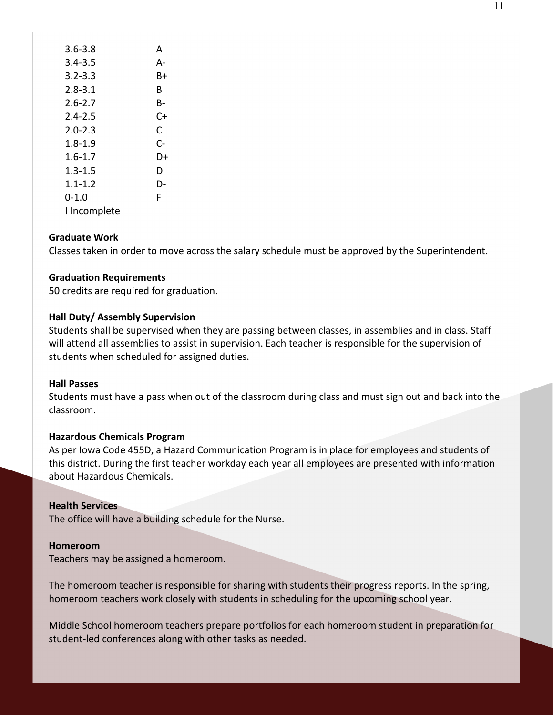| ш | ۰ |
|---|---|
|   |   |

| $3.6 - 3.8$  | А  |
|--------------|----|
| 3.4-3.5      | А- |
| $3.2 - 3.3$  | B+ |
| $2.8 - 3.1$  | в  |
| $2.6 - 2.7$  | в- |
| $2.4 - 2.5$  | C+ |
| $2.0 - 2.3$  | C  |
| $1.8 - 1.9$  | C- |
| $1.6 - 1.7$  | D+ |
| $1.3 - 1.5$  | D  |
| $1.1 - 1.2$  | D- |
| 0-1.0        | F  |
| I Incomplete |    |

## <span id="page-10-0"></span>**Graduate Work**

Classes taken in order to move across the salary schedule must be approved by the Superintendent.

## <span id="page-10-1"></span>**Graduation Requirements**

50 credits are required for graduation.

#### <span id="page-10-2"></span>**Hall Duty/ Assembly Supervision**

Students shall be supervised when they are passing between classes, in assemblies and in class. Staff will attend all assemblies to assist in supervision. Each teacher is responsible for the supervision of students when scheduled for assigned duties.

#### <span id="page-10-3"></span>**Hall Passes**

Students must have a pass when out of the classroom during class and must sign out and back into the classroom.

#### <span id="page-10-4"></span>**Hazardous Chemicals Program**

As per Iowa Code 455D, a Hazard Communication Program is in place for employees and students of this district. During the first teacher workday each year all employees are presented with information about Hazardous Chemicals.

#### <span id="page-10-5"></span>**Health Services**

The office will have a building schedule for the Nurse.

#### <span id="page-10-6"></span>**Homeroom**

Teachers may be assigned a homeroom.

The homeroom teacher is responsible for sharing with students their progress reports. In the spring, homeroom teachers work closely with students in scheduling for the upcoming school year.

Middle School homeroom teachers prepare portfolios for each homeroom student in preparation for student-led conferences along with other tasks as needed.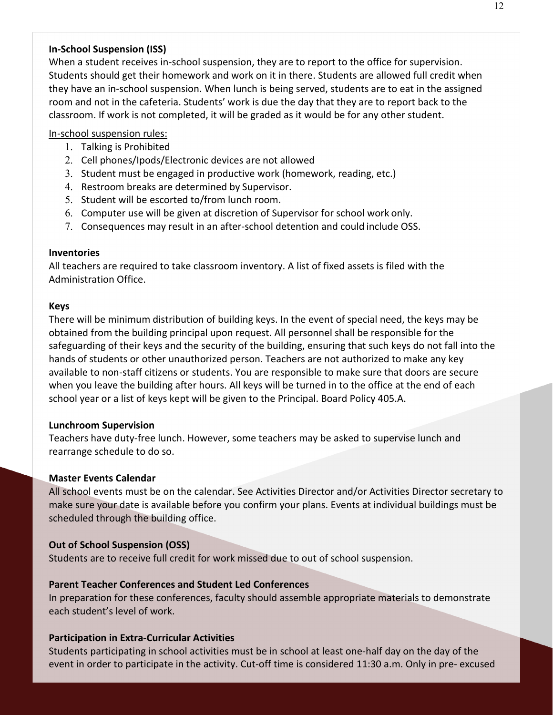## <span id="page-11-0"></span>**In-School Suspension (ISS)**

When a student receives in-school suspension, they are to report to the office for supervision. Students should get their homework and work on it in there. Students are allowed full credit when they have an in-school suspension. When lunch is being served, students are to eat in the assigned room and not in the cafeteria. Students' work is due the day that they are to report back to the classroom. If work is not completed, it will be graded as it would be for any other student.

## In-school suspension rules:

- 1. Talking is Prohibited
- 2. Cell phones/Ipods/Electronic devices are not allowed
- 3. Student must be engaged in productive work (homework, reading, etc.)
- 4. Restroom breaks are determined by Supervisor.
- 5. Student will be escorted to/from lunch room.
- 6. Computer use will be given at discretion of Supervisor for school work only.
- 7. Consequences may result in an after-school detention and could include OSS.

## <span id="page-11-1"></span>**Inventories**

All teachers are required to take classroom inventory. A list of fixed assets is filed with the Administration Office.

## <span id="page-11-2"></span>**Keys**

There will be minimum distribution of building keys. In the event of special need, the keys may be obtained from the building principal upon request. All personnel shall be responsible for the safeguarding of their keys and the security of the building, ensuring that such keys do not fall into the hands of students or other unauthorized person. Teachers are not authorized to make any key available to non-staff citizens or students. You are responsible to make sure that doors are secure when you leave the building after hours. All keys will be turned in to the office at the end of each school year or a list of keys kept will be given to the Principal. Board Policy 405.A.

#### <span id="page-11-3"></span>**Lunchroom Supervision**

Teachers have duty-free lunch. However, some teachers may be asked to supervise lunch and rearrange schedule to do so.

#### <span id="page-11-4"></span>**Master Events Calendar**

All school events must be on the calendar. See Activities Director and/or Activities Director secretary to make sure your date is available before you confirm your plans. Events at individual buildings must be scheduled through the building office.

## <span id="page-11-5"></span>**Out of School Suspension (OSS)**

Students are to receive full credit for work missed due to out of school suspension.

## <span id="page-11-6"></span>**Parent Teacher Conferences and Student Led Conferences**

In preparation for these conferences, faculty should assemble appropriate materials to demonstrate each student's level of work.

## <span id="page-11-7"></span>**Participation in Extra-Curricular Activities**

Students participating in school activities must be in school at least one-half day on the day of the event in order to participate in the activity. Cut-off time is considered 11:30 a.m. Only in pre- excused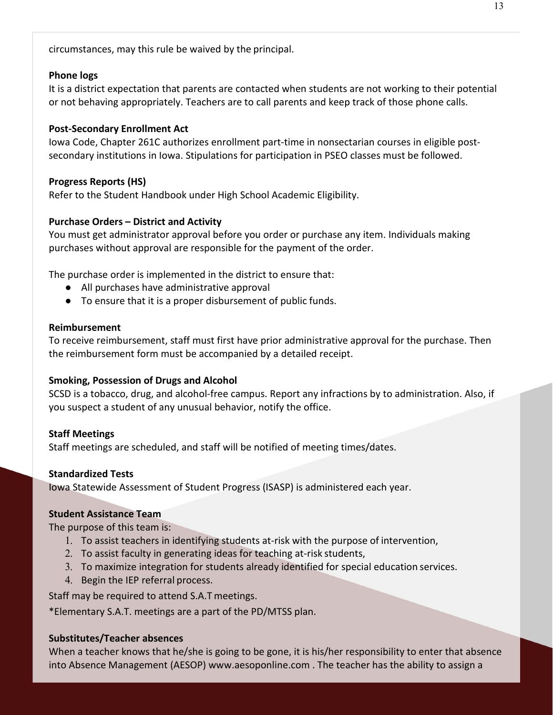circumstances, may this rule be waived by the principal.

#### <span id="page-12-0"></span>**Phone logs**

It is a district expectation that parents are contacted when students are not working to their potential or not behaving appropriately. Teachers are to call parents and keep track of those phone calls.

#### <span id="page-12-1"></span>**Post-Secondary Enrollment Act**

Iowa Code, Chapter 261C authorizes enrollment part-time in nonsectarian courses in eligible postsecondary institutions in Iowa. Stipulations for participation in PSEO classes must be followed.

#### <span id="page-12-2"></span>**Progress Reports (HS)**

Refer to the Student Handbook under High School Academic Eligibility.

## <span id="page-12-3"></span>**Purchase Orders – District and Activity**

You must get administrator approval before you order or purchase any item. Individuals making purchases without approval are responsible for the payment of the order.

The purchase order is implemented in the district to ensure that:

- All purchases have administrative approval
- To ensure that it is a proper disbursement of public funds.

#### <span id="page-12-4"></span>**Reimbursement**

To receive reimbursement, staff must first have prior administrative approval for the purchase. Then the reimbursement form must be accompanied by a detailed receipt.

#### <span id="page-12-5"></span>**Smoking, Possession of Drugs and Alcohol**

SCSD is a tobacco, drug, and alcohol-free campus. Report any infractions by to administration. Also, if you suspect a student of any unusual behavior, notify the office.

#### <span id="page-12-6"></span>**Staff Meetings**

Staff meetings are scheduled, and staff will be notified of meeting times/dates.

#### <span id="page-12-7"></span>**Standardized Tests**

Iowa Statewide Assessment of Student Progress (ISASP) is administered each year.

#### <span id="page-12-8"></span>**Student Assistance Team**

The purpose of this team is:

- 1. To assist teachers in identifying students at-risk with the purpose of intervention,
- 2. To assist faculty in generating ideas for teaching at-risk students,
- 3. To maximize integration for students already identified for special education services.
- 4. Begin the IEP referral process.

Staff may be required to attend S.A.T meetings.

\*Elementary S.A.T. meetings are a part of the PD/MTSS plan.

#### <span id="page-12-9"></span>**Substitutes/Teacher absences**

When a teacher knows that he/she is going to be gone, it is his/her responsibility to enter that absence into Absence Management (AESOP) [www.aesoponline.com .](http://www.aesoponline.com/) The teacher has the ability to assign a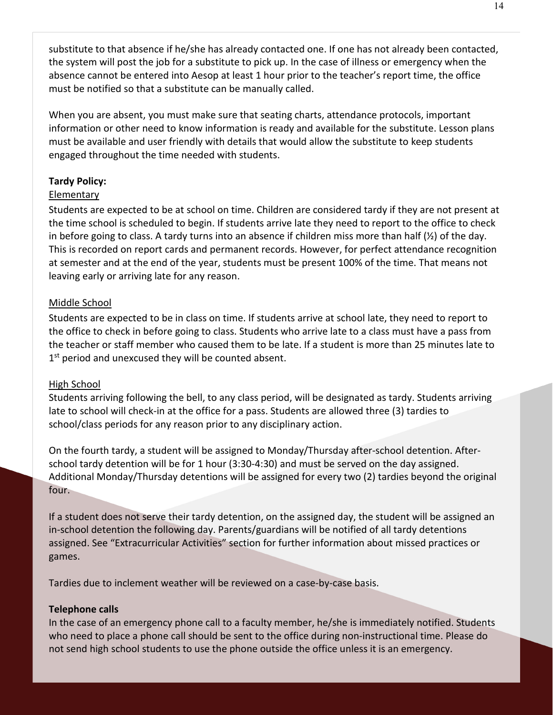substitute to that absence if he/she has already contacted one. If one has not already been contacted, the system will post the job for a substitute to pick up. In the case of illness or emergency when the absence cannot be entered into Aesop at least 1 hour prior to the teacher's report time, the office must be notified so that a substitute can be manually called.

When you are absent, you must make sure that seating charts, attendance protocols, important information or other need to know information is ready and available for the substitute. Lesson plans must be available and user friendly with details that would allow the substitute to keep students engaged throughout the time needed with students.

## <span id="page-13-0"></span>**Tardy Policy:**

## Elementary

Students are expected to be at school on time. Children are considered tardy if they are not present at the time school is scheduled to begin. If students arrive late they need to report to the office to check in before going to class. A tardy turns into an absence if children miss more than half  $(\frac{1}{2})$  of the day. This is recorded on report cards and permanent records. However, for perfect attendance recognition at semester and at the end of the year, students must be present 100% of the time. That means not leaving early or arriving late for any reason.

## Middle School

Students are expected to be in class on time. If students arrive at school late, they need to report to the office to check in before going to class. Students who arrive late to a class must have a pass from the teacher or staff member who caused them to be late. If a student is more than 25 minutes late to 1<sup>st</sup> period and unexcused they will be counted absent.

## High School

Students arriving following the bell, to any class period, will be designated as tardy. Students arriving late to school will check-in at the office for a pass. Students are allowed three (3) tardies to school/class periods for any reason prior to any disciplinary action.

On the fourth tardy, a student will be assigned to Monday/Thursday after-school detention. Afterschool tardy detention will be for 1 hour (3:30-4:30) and must be served on the day assigned. Additional Monday/Thursday detentions will be assigned for every two (2) tardies beyond the original four.

If a student does not serve their tardy detention, on the assigned day, the student will be assigned an in-school detention the following day. Parents/guardians will be notified of all tardy detentions assigned. See "Extracurricular Activities" section for further information about missed practices or games.

Tardies due to inclement weather will be reviewed on a case-by-case basis.

## <span id="page-13-1"></span>**Telephone calls**

In the case of an emergency phone call to a faculty member, he/she is immediately notified. Students who need to place a phone call should be sent to the office during non-instructional time. Please do not send high school students to use the phone outside the office unless it is an emergency.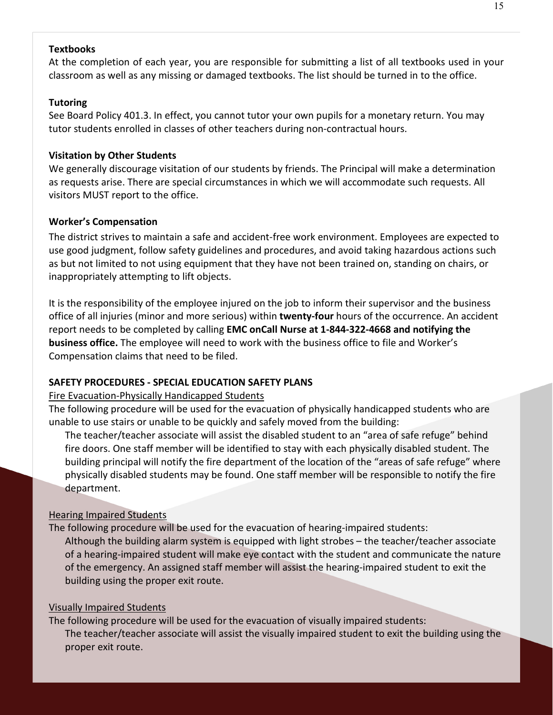## <span id="page-14-0"></span>**Textbooks**

At the completion of each year, you are responsible for submitting a list of all textbooks used in your classroom as well as any missing or damaged textbooks. The list should be turned in to the office.

## <span id="page-14-1"></span>**Tutoring**

See Board Policy 401.3. In effect, you cannot tutor your own pupils for a monetary return. You may tutor students enrolled in classes of other teachers during non-contractual hours.

#### <span id="page-14-2"></span>**Visitation by Other Students**

We generally discourage visitation of our students by friends. The Principal will make a determination as requests arise. There are special circumstances in which we will accommodate such requests. All visitors MUST report to the office.

## **Worker's Compensation**

The district strives to maintain a safe and accident-free work environment. Employees are expected to use good judgment, follow safety guidelines and procedures, and avoid taking hazardous actions such as but not limited to not using equipment that they have not been trained on, standing on chairs, or inappropriately attempting to lift objects.

It is the responsibility of the employee injured on the job to inform their supervisor and the business office of all injuries (minor and more serious) within **twenty-four** hours of the occurrence. An accident report needs to be completed by calling **EMC onCall Nurse at 1-844-322-4668 and notifying the business office.** The employee will need to work with the business office to file and Worker's Compensation claims that need to be filed.

## <span id="page-14-3"></span>**SAFETY PROCEDURES - SPECIAL EDUCATION SAFETY PLANS**

#### Fire Evacuation-Physically Handicapped Students

The following procedure will be used for the evacuation of physically handicapped students who are unable to use stairs or unable to be quickly and safely moved from the building:

The teacher/teacher associate will assist the disabled student to an "area of safe refuge" behind fire doors. One staff member will be identified to stay with each physically disabled student. The building principal will notify the fire department of the location of the "areas of safe refuge" where physically disabled students may be found. One staff member will be responsible to notify the fire department.

#### Hearing Impaired Students

The following procedure will be used for the evacuation of hearing-impaired students: Although the building alarm system is equipped with light strobes – the teacher/teacher associate of a hearing-impaired student will make eye contact with the student and communicate the nature of the emergency. An assigned staff member will assist the hearing-impaired student to exit the building using the proper exit route.

#### Visually Impaired Students

The following procedure will be used for the evacuation of visually impaired students: The teacher/teacher associate will assist the visually impaired student to exit the building using the proper exit route.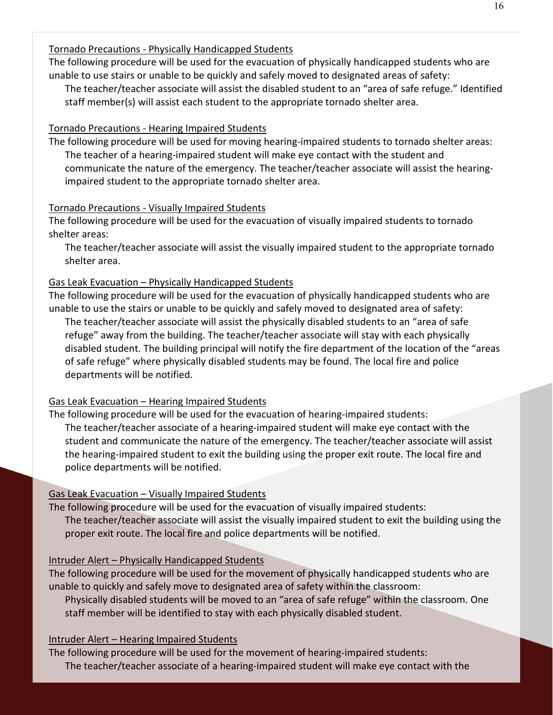## Tornado Precautions - Physically Handicapped Students

The following procedure will be used for the evacuation of physically handicapped students who are unable to use stairs or unable to be quickly and safely moved to designated areas of safety:

The teacher/teacher associate will assist the disabled student to an "area of safe refuge." Identified staff member(s) will assist each student to the appropriate tornado shelter area.

## Tornado Precautions - Hearing Impaired Students

The following procedure will be used for moving hearing-impaired students to tornado shelter areas: The teacher of a hearing-impaired student will make eye contact with the student and communicate the nature of the emergency. The teacher/teacher associate will assist the hearingimpaired student to the appropriate tornado shelter area.

## Tornado Precautions - Visually Impaired Students

The following procedure will be used for the evacuation of visually impaired students to tornado shelter areas:

The teacher/teacher associate will assist the visually impaired student to the appropriate tornado shelter area.

## Gas Leak Evacuation – Physically Handicapped Students

The following procedure will be used for the evacuation of physically handicapped students who are unable to use the stairs or unable to be quickly and safely moved to designated area of safety:

The teacher/teacher associate will assist the physically disabled students to an "area of safe refuge" away from the building. The teacher/teacher associate will stay with each physically disabled student. The building principal will notify the fire department of the location of the "areas of safe refuge" where physically disabled students may be found. The local fire and police departments will be notified.

## Gas Leak Evacuation – Hearing Impaired Students

The following procedure will be used for the evacuation of hearing-impaired students: The teacher/teacher associate of a hearing-impaired student will make eye contact with the student and communicate the nature of the emergency. The teacher/teacher associate will assist the hearing-impaired student to exit the building using the proper exit route. The local fire and police departments will be notified.

## Gas Leak Evacuation – Visually Impaired Students

The following procedure will be used for the evacuation of visually impaired students: The teacher/teacher associate will assist the visually impaired student to exit the building using the proper exit route. The local fire and police departments will be notified.

## Intruder Alert – Physically Handicapped Students

The following procedure will be used for the movement of physically handicapped students who are unable to quickly and safely move to designated area of safety within the classroom:

Physically disabled students will be moved to an "area of safe refuge" within the classroom. One staff member will be identified to stay with each physically disabled student.

## Intruder Alert – Hearing Impaired Students

The following procedure will be used for the movement of hearing-impaired students: The teacher/teacher associate of a hearing-impaired student will make eye contact with the